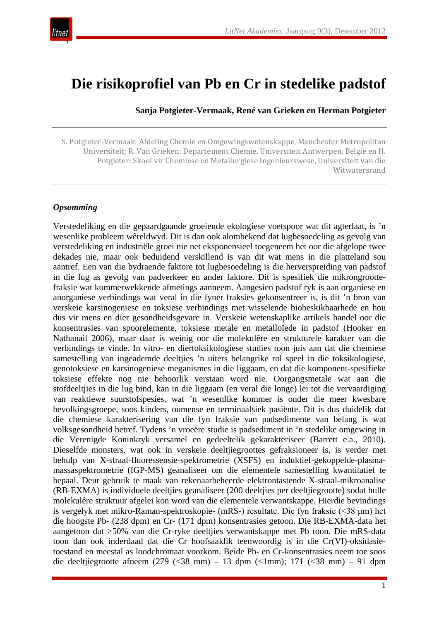

# **Die risikoprofiel van Pb en Cr in stedelike padstof**

**Sanja Potgieter-Vermaak, René van Grieken en Herman Potgieter**

S. Potgieter-Vermaak: Afdeling Chemie en Omgewingswetenskappe, Manchester Metropolitan Universiteit; R. Van Grieken: Departement Chemie, Universiteit Antwerpen, België en H. Potgieter: Skool vir Chemiese en Metallurgiese Ingenieurswese, Universiteit van die Witwatersrand

#### *Opsomming*

Verstedeliking en die gepaardgaande groeiende ekologiese voetspoor wat dit agterlaat, is 'n wesenlike probleem wêreldwyd. Dit is dan ook alombekend dat lugbesoedeling as gevolg van verstedeliking en industriële groei nie net eksponensieel toegeneem het oor die afgelope twee dekades nie, maar ook beduidend verskillend is van dit wat mens in die platteland sou aantref. Een van die bydraende faktore tot lugbesoedeling is die herverspreiding van padstof in die lug as gevolg van padverkeer en ander faktore. Dit is spesifiek die mikrongroottefraksie wat kommerwekkende afmetings aanneem. Aangesien padstof ryk is aan organiese en anorganiese verbindings wat veral in die fyner fraksies gekonsentreer is, is dit 'n bron van verskeie karsinogeniese en toksiese verbindings met wisselende biobeskikbaarhede en hou dus vir mens en dier gesondheidsgevare in. Verskeie wetenskaplike artikels handel oor die konsentrasies van spoorelemente, toksiese metale en metalloïede in padstof (Hooker en Nathanail 2006), maar daar is weinig oor die molekulêre en strukturele karakter van die verbindings te vinde. In vitro- en diertoksikologiese studies toon juis aan dat die chemiese samestelling van ingeademde deeltjies 'n uiters belangrike rol speel in die toksikologiese, genotoksiese en karsinogeniese meganismes in die liggaam, en dat die komponent-spesifieke toksiese effekte nog nie behoorlik verstaan word nie. Oorgangsmetale wat aan die stofdeeltjies in die lug bind, kan in die liggaam (en veral die longe) lei tot die vervaardiging van reaktiewe suurstofspesies, wat 'n wesenlike kommer is onder die meer kwesbare bevolkingsgroepe, soos kinders, oumense en terminaalsiek pasiënte. Dit is dus duidelik dat die chemiese karakterisering van die fyn fraksie van padsedimente van belang is wat volksgesondheid betref. Tydens 'n vroeëre studie is padsediment in 'n stedelike omgewing in die Verenigde Koninkryk versamel en gedeeltelik gekarakteriseer (Barrett e.a., 2010). Dieselfde monsters, wat ook in verskeie deeltjiegroottes gefraksioneer is, is verder met behulp van X-straal-fluoressensie-spektrometrie (XSFS) en induktief-gekoppelde-plasmamassaspektrometrie (IGP-MS) geanaliseer om die elementele samestelling kwantitatief te bepaal. Deur gebruik te maak van rekenaarbeheerde elektrontastende X-straal-mikroanalise (RB-EXMA) is individuele deeltjies geanaliseer (200 deeltjies per deeltjiegrootte) sodat hulle molekulêre struktuur afgelei kon word van die elementele verwantskappe. Hierdie bevindings is vergelyk met mikro-Raman-spektroskopie- (mRS-) resultate. Die fyn fraksie (<38 μm) het die hoogste Pb- (238 dpm) en Cr- (171 dpm) konsentrasies getoon. Die RB-EXMA-data het aangetoon dat >50% van die Cr-ryke deeltjies verwantskappe met Pb toon. Die mRS-data toon dan ook inderdaad dat die Cr hoofsaaklik teenwoordig is in die Cr(VI)-oksidasietoestand en meestal as loodchromaat voorkom. Beide Pb- en Cr-konsentrasies neem toe soos die deeltjiegrootte afneem (279  $\left(\frac{38}{10}\right) - 13$  dpm  $\left(\frac{1}{10}\right)$ ; 171  $\left(\frac{38}{10}\right) - 91$  dpm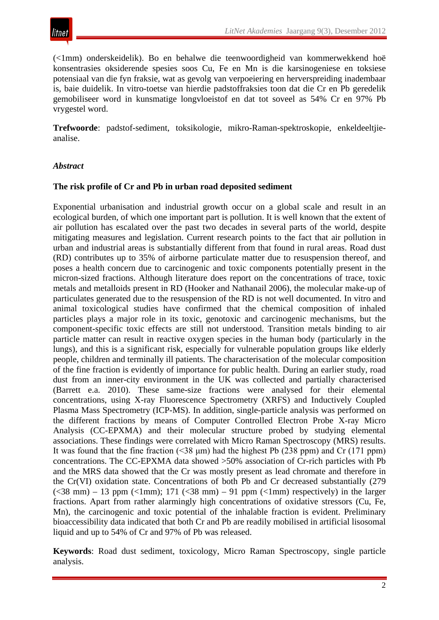

(<1mm) onderskeidelik). Bo en behalwe die teenwoordigheid van kommerwekkend hoë konsentrasies oksiderende spesies soos Cu, Fe en Mn is die karsinogeniese en toksiese potensiaal van die fyn fraksie, wat as gevolg van verpoeiering en herverspreiding inadembaar is, baie duidelik. In vitro-toetse van hierdie padstoffraksies toon dat die Cr en Pb geredelik gemobiliseer word in kunsmatige longvloeistof en dat tot soveel as 54% Cr en 97% Pb vrygestel word.

**Trefwoorde**: padstof-sediment, toksikologie, mikro-Raman-spektroskopie, enkeldeeltjieanalise.

#### *Abstract*

#### **The risk profile of Cr and Pb in urban road deposited sediment**

Exponential urbanisation and industrial growth occur on a global scale and result in an ecological burden, of which one important part is pollution. It is well known that the extent of air pollution has escalated over the past two decades in several parts of the world, despite mitigating measures and legislation. Current research points to the fact that air pollution in urban and industrial areas is substantially different from that found in rural areas. Road dust (RD) contributes up to 35% of airborne particulate matter due to resuspension thereof, and poses a health concern due to carcinogenic and toxic components potentially present in the micron-sized fractions. Although literature does report on the concentrations of trace, toxic metals and metalloids present in RD (Hooker and Nathanail 2006), the molecular make-up of particulates generated due to the resuspension of the RD is not well documented. In vitro and animal toxicological studies have confirmed that the chemical composition of inhaled particles plays a major role in its toxic, genotoxic and carcinogenic mechanisms, but the component-specific toxic effects are still not understood. Transition metals binding to air particle matter can result in reactive oxygen species in the human body (particularly in the lungs), and this is a significant risk, especially for vulnerable population groups like elderly people, children and terminally ill patients. The characterisation of the molecular composition of the fine fraction is evidently of importance for public health. During an earlier study, road dust from an inner-city environment in the UK was collected and partially characterised (Barrett e.a. 2010). These same-size fractions were analysed for their elemental concentrations, using X-ray Fluorescence Spectrometry (XRFS) and Inductively Coupled Plasma Mass Spectrometry (ICP-MS). In addition, single-particle analysis was performed on the different fractions by means of Computer Controlled Electron Probe X-ray Micro Analysis (CC-EPXMA) and their molecular structure probed by studying elemental associations. These findings were correlated with Micro Raman Spectroscopy (MRS) results. It was found that the fine fraction  $(\leq 38 \text{ µm})$  had the highest Pb (238 ppm) and Cr (171 ppm) concentrations. The CC-EPXMA data showed >50% association of Cr-rich particles with Pb and the MRS data showed that the Cr was mostly present as lead chromate and therefore in the Cr(VI) oxidation state. Concentrations of both Pb and Cr decreased substantially (279  $(<38$  mm) – 13 ppm  $(<1$ mm); 171  $(<38$  mm) – 91 ppm  $(<1$ mm) respectively) in the larger fractions. Apart from rather alarmingly high concentrations of oxidative stressors (Cu, Fe, Mn), the carcinogenic and toxic potential of the inhalable fraction is evident. Preliminary bioaccessibility data indicated that both Cr and Pb are readily mobilised in artificial lisosomal liquid and up to 54% of Cr and 97% of Pb was released.

**Keywords**: Road dust sediment, toxicology, Micro Raman Spectroscopy, single particle analysis.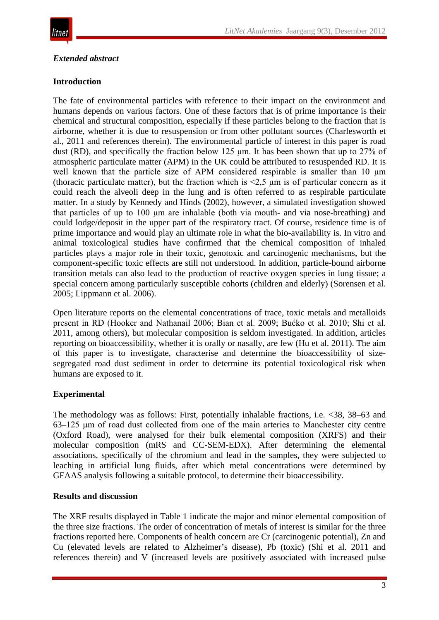# *Extended abstract*

# **Introduction**

The fate of environmental particles with reference to their impact on the environment and humans depends on various factors. One of these factors that is of prime importance is their chemical and structural composition, especially if these particles belong to the fraction that is airborne, whether it is due to resuspension or from other pollutant sources (Charlesworth et al., 2011 and references therein). The environmental particle of interest in this paper is road dust (RD), and specifically the fraction below 125 μm. It has been shown that up to 27% of atmospheric particulate matter (APM) in the UK could be attributed to resuspended RD. It is well known that the particle size of APM considered respirable is smaller than 10 μm (thoracic particulate matter), but the fraction which is <2,5 μm is of particular concern as it could reach the alveoli deep in the lung and is often referred to as respirable particulate matter. In a study by Kennedy and Hinds (2002), however, a simulated investigation showed that particles of up to 100 μm are inhalable (both via mouth- and via nose-breathing) and could lodge/deposit in the upper part of the respiratory tract. Of course, residence time is of prime importance and would play an ultimate role in what the bio-availability is. In vitro and animal toxicological studies have confirmed that the chemical composition of inhaled particles plays a major role in their toxic, genotoxic and carcinogenic mechanisms, but the component-specific toxic effects are still not understood. In addition, particle-bound airborne transition metals can also lead to the production of reactive oxygen species in lung tissue; a special concern among particularly susceptible cohorts (children and elderly) (Sorensen et al. 2005; Lippmann et al. 2006).

Open literature reports on the elemental concentrations of trace, toxic metals and metalloids present in RD (Hooker and Nathanail 2006; Bian et al. 2009; Bućko et al. 2010; Shi et al. 2011, among others), but molecular composition is seldom investigated. In addition, articles reporting on bioaccessibility, whether it is orally or nasally, are few (Hu et al. 2011). The aim of this paper is to investigate, characterise and determine the bioaccessibility of sizesegregated road dust sediment in order to determine its potential toxicological risk when humans are exposed to it.

# **Experimental**

The methodology was as follows: First, potentially inhalable fractions, i.e. <38, 38–63 and 63–125 μm of road dust collected from one of the main arteries to Manchester city centre (Oxford Road), were analysed for their bulk elemental composition (XRFS) and their molecular composition (mRS and CC-SEM-EDX). After determining the elemental associations, specifically of the chromium and lead in the samples, they were subjected to leaching in artificial lung fluids, after which metal concentrations were determined by GFAAS analysis following a suitable protocol, to determine their bioaccessibility.

# **Results and discussion**

The XRF results displayed in Table 1 indicate the major and minor elemental composition of the three size fractions. The order of concentration of metals of interest is similar for the three fractions reported here. Components of health concern are Cr (carcinogenic potential), Zn and Cu (elevated levels are related to Alzheimer's disease), Pb (toxic) (Shi et al. 2011 and references therein) and V (increased levels are positively associated with increased pulse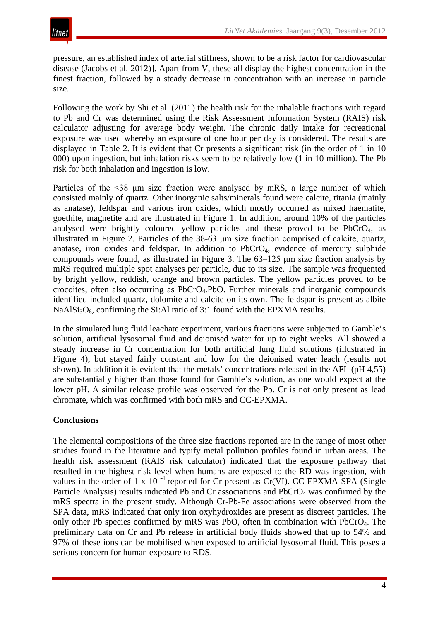pressure, an established index of arterial stiffness, shown to be a risk factor for cardiovascular disease (Jacobs et al. 2012)]. Apart from V, these all display the highest concentration in the finest fraction, followed by a steady decrease in concentration with an increase in particle size.

Following the work by Shi et al. (2011) the health risk for the inhalable fractions with regard to Pb and Cr was determined using the Risk Assessment Information System (RAIS) risk calculator adjusting for average body weight. The chronic daily intake for recreational exposure was used whereby an exposure of one hour per day is considered. The results are displayed in Table 2. It is evident that Cr presents a significant risk (in the order of 1 in 10 000) upon ingestion, but inhalation risks seem to be relatively low (1 in 10 million). The Pb risk for both inhalation and ingestion is low.

Particles of the <38  $\mu$ m size fraction were analysed by mRS, a large number of which consisted mainly of quartz. Other inorganic salts/minerals found were calcite, titania (mainly as anatase), feldspar and various iron oxides, which mostly occurred as mixed haematite, goethite, magnetite and are illustrated in Figure 1. In addition, around 10% of the particles analysed were brightly coloured yellow particles and these proved to be PbCrO4, as illustrated in Figure 2. Particles of the 38-63 μm size fraction comprised of calcite, quartz, anatase, iron oxides and feldspar. In addition to PbCrO4, evidence of mercury sulphide compounds were found, as illustrated in Figure 3. The 63–125 μm size fraction analysis by mRS required multiple spot analyses per particle, due to its size. The sample was frequented by bright yellow, reddish, orange and brown particles. The yellow particles proved to be crocoites, often also occurring as PbCrO4.PbO. Further minerals and inorganic compounds identified included quartz, dolomite and calcite on its own. The feldspar is present as albite NaAl $Si<sub>3</sub>O<sub>8</sub>$ , confirming the Si:Al ratio of 3:1 found with the EPXMA results.

In the simulated lung fluid leachate experiment, various fractions were subjected to Gamble's solution, artificial lysosomal fluid and deionised water for up to eight weeks. All showed a steady increase in Cr concentration for both artificial lung fluid solutions (illustrated in Figure 4), but stayed fairly constant and low for the deionised water leach (results not shown). In addition it is evident that the metals' concentrations released in the AFL (pH 4,55) are substantially higher than those found for Gamble's solution, as one would expect at the lower pH. A similar release profile was observed for the Pb. Cr is not only present as lead chromate, which was confirmed with both mRS and CC-EPXMA.

## **Conclusions**

The elemental compositions of the three size fractions reported are in the range of most other studies found in the literature and typify metal pollution profiles found in urban areas. The health risk assessment (RAIS risk calculator) indicated that the exposure pathway that resulted in the highest risk level when humans are exposed to the RD was ingestion, with values in the order of 1 x 10<sup>-4</sup> reported for Cr present as Cr(VI). CC-EPXMA SPA (Single Particle Analysis) results indicated Pb and Cr associations and PbCrO<sub>4</sub> was confirmed by the mRS spectra in the present study. Although Cr-Pb-Fe associations were observed from the SPA data, mRS indicated that only iron oxyhydroxides are present as discreet particles. The only other Pb species confirmed by mRS was PbO, often in combination with PbCrO4. The preliminary data on Cr and Pb release in artificial body fluids showed that up to 54% and 97% of these ions can be mobilised when exposed to artificial lysosomal fluid. This poses a serious concern for human exposure to RDS.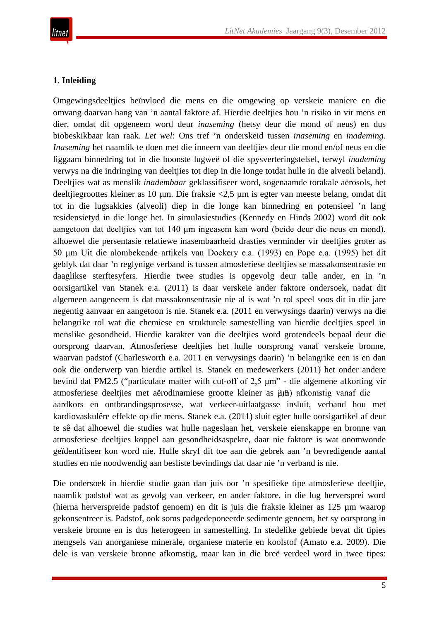# **1. Inleiding**

Omgewingsdeeltjies beïnvloed die mens en die omgewing op verskeie maniere en die omvang daarvan hang van 'n aantal faktore af. Hierdie deeltjies hou 'n risiko in vir mens en dier, omdat dit opgeneem word deur *inaseming* (hetsy deur die mond of neus) en dus biobeskikbaar kan raak. *Let wel*: Ons tref 'n onderskeid tussen *inaseming* en *inademing*. *Inaseming* het naamlik te doen met die inneem van deeltjies deur die mond en/of neus en die liggaam binnedring tot in die boonste lugweë of die spysverteringstelsel, terwyl *inademing* verwys na die indringing van deeltjies tot diep in die longe totdat hulle in die alveoli beland). Deeltjies wat as menslik *inadembaar* geklassifiseer word, sogenaamde torakale aërosols, het deeltjiegroottes kleiner as 10 µm. Die fraksie <2,5 µm is egter van meeste belang, omdat dit tot in die lugsakkies (alveoli) diep in die longe kan binnedring en potensieel 'n lang residensietyd in die longe het. In simulasiestudies (Kennedy en Hinds 2002) word dit ook aangetoon dat deeltjies van tot 140 μm ingeasem kan word (beide deur die neus en mond), alhoewel die persentasie relatiewe inasembaarheid drasties verminder vir deeltjies groter as 50 μm Uit die alombekende artikels van Dockery e.a. (1993) en Pope e.a. (1995) het dit geblyk dat daar 'n reglynige verband is tussen atmosferiese deeltjies se massakonsentrasie en daaglikse sterftesyfers. Hierdie twee studies is opgevolg deur talle ander, en in 'n oorsigartikel van Stanek e.a. (2011) is daar verskeie ander faktore ondersoek, nadat dit algemeen aangeneem is dat massakonsentrasie nie al is wat 'n rol speel soos dit in die jare negentig aanvaar en aangetoon is nie. Stanek e.a. (2011 en verwysings daarin) verwys na die belangrike rol wat die chemiese en strukturele samestelling van hierdie deeltjies speel in menslike gesondheid. Hierdie karakter van die deeltjies word grotendeels bepaal deur die oorsprong daarvan. Atmosferiese deeltjies het hulle oorsprong vanaf verskeie bronne, waarvan padstof (Charlesworth e.a. 2011 en verwysings daarin) 'n belangrike een is en dan ook die onderwerp van hierdie artikel is. Stanek en medewerkers (2011) het onder andere bevind dat PM2.5 ("particulate matter with cut-off of 2,5 μm" - die algemene afkorting vir atmosferiese deeltjies met aërodinamiese grootte kleiner as  $\hat{\mu}$ π, afkomstig vanaf die aardkors en ontbrandingsprosesse, wat verkeer-uitlaatgasse insluit, verband hou met kardiovaskulêre effekte op die mens. Stanek e.a. (2011) sluit egter hulle oorsigartikel af deur te sê dat alhoewel die studies wat hulle nageslaan het, verskeie eienskappe en bronne van atmosferiese deeltjies koppel aan gesondheidsaspekte, daar nie faktore is wat onomwonde geïdentifiseer kon word nie. Hulle skryf dit toe aan die gebrek aan 'n bevredigende aantal studies en nie noodwendig aan besliste bevindings dat daar nie 'n verband is nie.

Die ondersoek in hierdie studie gaan dan juis oor 'n spesifieke tipe atmosferiese deeltjie, naamlik padstof wat as gevolg van verkeer, en ander faktore, in die lug herversprei word (hierna herverspreide padstof genoem) en dit is juis die fraksie kleiner as 125 µm waarop gekonsentreer is. Padstof, ook soms padgedeponeerde sedimente genoem, het sy oorsprong in verskeie bronne en is dus heterogeen in samestelling. In stedelike gebiede bevat dit tipies mengsels van anorganiese minerale, organiese materie en koolstof (Amato e.a. 2009). Die dele is van verskeie bronne afkomstig, maar kan in die breë verdeel word in twee tipes: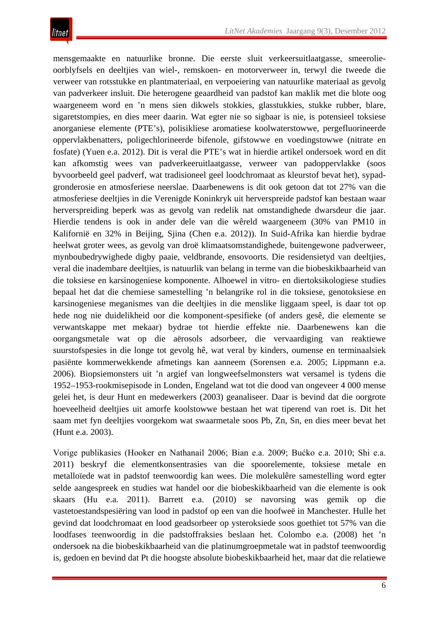mensgemaakte en natuurlike bronne. Die eerste sluit verkeersuitlaatgasse, smeerolieoorblyfsels en deeltjies van wiel-, remskoen- en motorverweer in, terwyl die tweede die verweer van rotsstukke en plantmateriaal, en verpoeiering van natuurlike materiaal as gevolg van padverkeer insluit. Die heterogene geaardheid van padstof kan maklik met die blote oog waargeneem word en 'n mens sien dikwels stokkies, glasstukkies, stukke rubber, blare, sigaretstompies, en dies meer daarin. Wat egter nie so sigbaar is nie, is potensieel toksiese anorganiese elemente (PTE's), polisikliese aromatiese koolwaterstowwe, pergefluorineerde oppervlakbenatters, poligechlorineerde bifenole, gifstowwe en voedingstowwe (nitrate en fosfate) (Yuen e.a. 2012). Dit is veral die PTE's wat in hierdie artikel ondersoek word en dit kan afkomstig wees van padverkeeruitlaatgasse, verweer van padoppervlakke (soos byvoorbeeld geel padverf, wat tradisioneel geel loodchromaat as kleurstof bevat het), sypadgronderosie en atmosferiese neerslae. Daarbenewens is dit ook getoon dat tot 27% van die atmosferiese deeltjies in die Verenigde Koninkryk uit herverspreide padstof kan bestaan waar herverspreiding beperk was as gevolg van redelik nat omstandighede dwarsdeur die jaar. Hierdie tendens is ook in ander dele van die wêreld waargeneem (30% van PM10 in Kalifornië en 32% in Beijing, Sjina (Chen e.a. 2012)). In Suid-Afrika kan hierdie bydrae heelwat groter wees, as gevolg van droë klimaatsomstandighede, buitengewone padverweer, mynboubedrywighede digby paaie, veldbrande, ensovoorts. Die residensietyd van deeltjies, veral die inadembare deeltjies, is natuurlik van belang in terme van die biobeskikbaarheid van die toksiese en karsinogeniese komponente. Alhoewel in vitro- en diertoksikologiese studies bepaal het dat die chemiese samestelling 'n belangrike rol in die toksiese, genotoksiese en karsinogeniese meganismes van die deeltjies in die menslike liggaam speel, is daar tot op hede nog nie duidelikheid oor die komponent-spesifieke (of anders gesê, die elemente se verwantskappe met mekaar) bydrae tot hierdie effekte nie. Daarbenewens kan die oorgangsmetale wat op die aërosols adsorbeer, die vervaardiging van reaktiewe suurstofspesies in die longe tot gevolg hê, wat veral by kinders, oumense en terminaalsiek pasiënte kommerwekkende afmetings kan aanneem (Sorensen e.a. 2005; Lippmann e.a. 2006). Biopsiemonsters uit 'n argief van longweefselmonsters wat versamel is tydens die 1952–1953-rookmisepisode in Londen, Engeland wat tot die dood van ongeveer 4 000 mense gelei het, is deur Hunt en medewerkers (2003) geanaliseer. Daar is bevind dat die oorgrote hoeveelheid deeltjies uit amorfe koolstowwe bestaan het wat tiperend van roet is. Dit het saam met fyn deeltjies voorgekom wat swaarmetale soos Pb, Zn, Sn, en dies meer bevat het (Hunt e.a. 2003).

Vorige publikasies (Hooker en Nathanail 2006; Bian e.a. 2009; Bućko e.a. 2010; Shi e.a. 2011) beskryf die elementkonsentrasies van die spoorelemente, toksiese metale en metalloïede wat in padstof teenwoordig kan wees. Die molekulêre samestelling word egter selde aangespreek en studies wat handel oor die biobeskikbaarheid van die elemente is ook skaars (Hu e.a. 2011). Barrett e.a. (2010) se navorsing was gemik op die vastetoestandspesiëring van lood in padstof op een van die hoofweë in Manchester. Hulle het gevind dat loodchromaat en lood geadsorbeer op ysteroksiede soos goethiet tot 57% van die loodfases teenwoordig in die padstoffraksies beslaan het. Colombo e.a. (2008) het 'n ondersoek na die biobeskikbaarheid van die platinumgroepmetale wat in padstof teenwoordig is, gedoen en bevind dat Pt die hoogste absolute biobeskikbaarheid het, maar dat die relatiewe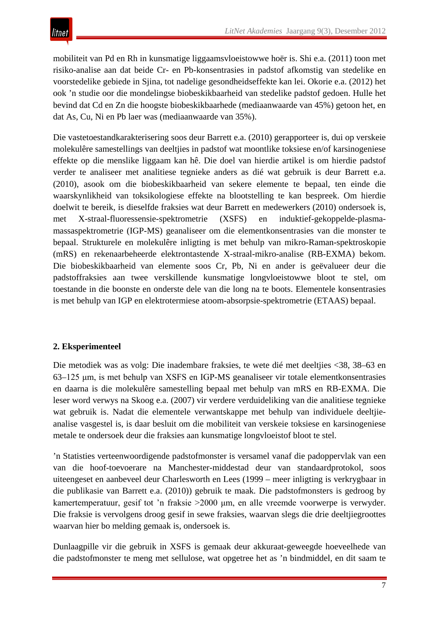mobiliteit van Pd en Rh in kunsmatige liggaamsvloeistowwe hoër is. Shi e.a. (2011) toon met risiko-analise aan dat beide Cr- en Pb-konsentrasies in padstof afkomstig van stedelike en voorstedelike gebiede in Sjina, tot nadelige gesondheidseffekte kan lei. Okorie e.a. (2012) het ook 'n studie oor die mondelingse biobeskikbaarheid van stedelike padstof gedoen. Hulle het bevind dat Cd en Zn die hoogste biobeskikbaarhede (mediaanwaarde van 45%) getoon het, en dat As, Cu, Ni en Pb laer was (mediaanwaarde van 35%).

Die vastetoestandkarakterisering soos deur Barrett e.a. (2010) gerapporteer is, dui op verskeie molekulêre samestellings van deeltjies in padstof wat moontlike toksiese en/of karsinogeniese effekte op die menslike liggaam kan hê. Die doel van hierdie artikel is om hierdie padstof verder te analiseer met analitiese tegnieke anders as dié wat gebruik is deur Barrett e.a. (2010), asook om die biobeskikbaarheid van sekere elemente te bepaal, ten einde die waarskynlikheid van toksikologiese effekte na blootstelling te kan bespreek. Om hierdie doelwit te bereik, is dieselfde fraksies wat deur Barrett en medewerkers (2010) ondersoek is, met X-straal-fluoressensie-spektrometrie (XSFS) en induktief-gekoppelde-plasmamassaspektrometrie (IGP-MS) geanaliseer om die elementkonsentrasies van die monster te bepaal. Strukturele en molekulêre inligting is met behulp van mikro-Raman-spektroskopie (mRS) en rekenaarbeheerde elektrontastende X-straal-mikro-analise (RB-EXMA) bekom. Die biobeskikbaarheid van elemente soos Cr, Pb, Ni en ander is geëvalueer deur die padstoffraksies aan twee verskillende kunsmatige longvloeistowwe bloot te stel, om toestande in die boonste en onderste dele van die long na te boots. Elementele konsentrasies is met behulp van IGP en elektrotermiese atoom-absorpsie-spektrometrie (ETAAS) bepaal.

# **2. Eksperimenteel**

Die metodiek was as volg: Die inadembare fraksies, te wete dié met deeltjies <38, 38–63 en 63–125 μm, is met behulp van XSFS en IGP-MS geanaliseer vir totale elementkonsentrasies en daarna is die molekulêre samestelling bepaal met behulp van mRS en RB-EXMA. Die leser word verwys na Skoog e.a. (2007) vir verdere verduideliking van die analitiese tegnieke wat gebruik is. Nadat die elementele verwantskappe met behulp van individuele deeltjieanalise vasgestel is, is daar besluit om die mobiliteit van verskeie toksiese en karsinogeniese metale te ondersoek deur die fraksies aan kunsmatige longvloeistof bloot te stel.

'n Statisties verteenwoordigende padstofmonster is versamel vanaf die padoppervlak van een van die hoof-toevoerare na Manchester-middestad deur van standaardprotokol, soos uiteengeset en aanbeveel deur Charlesworth en Lees (1999 – meer inligting is verkrygbaar in die publikasie van Barrett e.a. (2010)) gebruik te maak. Die padstofmonsters is gedroog by kamertemperatuur, gesif tot 'n fraksie >2000 μm, en alle vreemde voorwerpe is verwyder. Die fraksie is vervolgens droog gesif in sewe fraksies, waarvan slegs die drie deeltjiegroottes waarvan hier bo melding gemaak is, ondersoek is.

Dunlaagpille vir die gebruik in XSFS is gemaak deur akkuraat-geweegde hoeveelhede van die padstofmonster te meng met sellulose, wat opgetree het as 'n bindmiddel, en dit saam te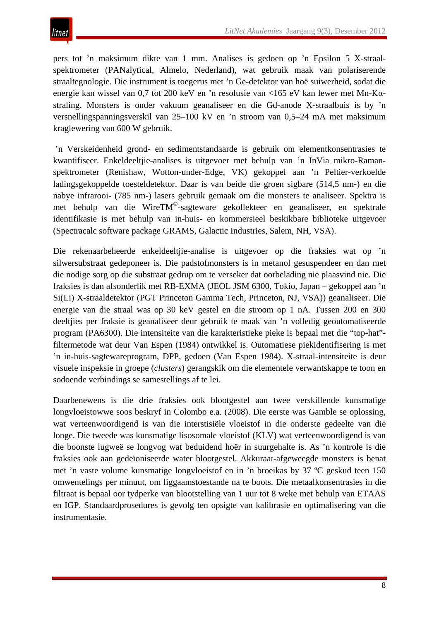pers tot 'n maksimum dikte van 1 mm. Analises is gedoen op 'n Epsilon 5 X-straalspektrometer (PANalytical, Almelo, Nederland), wat gebruik maak van polariserende straaltegnologie. Die instrument is toegerus met 'n Ge-detektor van hoë suiwerheid, sodat die energie kan wissel van 0,7 tot 200 keV en 'n resolusie van <165 eV kan lewer met Mn-Kαstraling. Monsters is onder vakuum geanaliseer en die Gd-anode X-straalbuis is by 'n versnellingspanningsverskil van 25–100 kV en 'n stroom van 0,5–24 mA met maksimum kraglewering van 600 W gebruik.

'n Verskeidenheid grond- en sedimentstandaarde is gebruik om elementkonsentrasies te kwantifiseer. Enkeldeeltjie-analises is uitgevoer met behulp van 'n InVia mikro-Ramanspektrometer (Renishaw, Wotton-under-Edge, VK) gekoppel aan 'n Peltier-verkoelde ladingsgekoppelde toesteldetektor. Daar is van beide die groen sigbare (514,5 nm-) en die nabye infrarooi- (785 nm-) lasers gebruik gemaak om die monsters te analiseer. Spektra is met behulp van die WireTM®-sagteware gekollekteer en geanaliseer, en spektrale identifikasie is met behulp van in-huis- en kommersieel beskikbare biblioteke uitgevoer (Spectracalc software package GRAMS, Galactic Industries, Salem, NH, VSA).

Die rekenaarbeheerde enkeldeeltjie-analise is uitgevoer op die fraksies wat op 'n silwersubstraat gedeponeer is. Die padstofmonsters is in metanol gesuspendeer en dan met die nodige sorg op die substraat gedrup om te verseker dat oorbelading nie plaasvind nie. Die fraksies is dan afsonderlik met RB-EXMA (JEOL JSM 6300, Tokio, Japan – gekoppel aan 'n Si(Li) X-straaldetektor (PGT Princeton Gamma Tech, Princeton, NJ, VSA)) geanaliseer. Die energie van die straal was op 30 keV gestel en die stroom op 1 nA. Tussen 200 en 300 deeltjies per fraksie is geanaliseer deur gebruik te maak van 'n volledig geoutomatiseerde program (PA6300). Die intensiteite van die karakteristieke pieke is bepaal met die "top-hat" filtermetode wat deur Van Espen (1984) ontwikkel is. Outomatiese piekidentifisering is met 'n in-huis-sagtewareprogram, DPP, gedoen (Van Espen 1984). X-straal-intensiteite is deur visuele inspeksie in groepe (*clusters*) gerangskik om die elementele verwantskappe te toon en sodoende verbindings se samestellings af te lei.

Daarbenewens is die drie fraksies ook blootgestel aan twee verskillende kunsmatige longvloeistowwe soos beskryf in Colombo e.a. (2008). Die eerste was Gamble se oplossing, wat verteenwoordigend is van die interstisiële vloeistof in die onderste gedeelte van die longe. Die tweede was kunsmatige lisosomale vloeistof (KLV) wat verteenwoordigend is van die boonste lugweë se longvog wat beduidend hoër in suurgehalte is. As 'n kontrole is die fraksies ook aan gedeïoniseerde water blootgestel. Akkuraat-afgeweegde monsters is benat met 'n vaste volume kunsmatige longvloeistof en in 'n broeikas by 37 ºC geskud teen 150 omwentelings per minuut, om liggaamstoestande na te boots. Die metaalkonsentrasies in die filtraat is bepaal oor tydperke van blootstelling van 1 uur tot 8 weke met behulp van ETAAS en IGP. Standaardprosedures is gevolg ten opsigte van kalibrasie en optimalisering van die instrumentasie.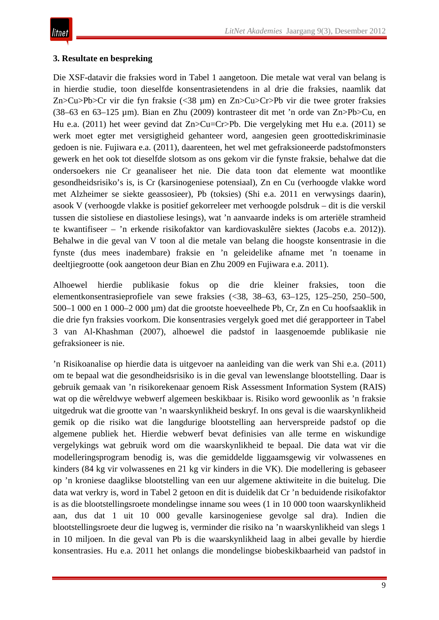## **3. Resultate en bespreking**

Die XSF-datavir die fraksies word in Tabel 1 aangetoon*.* Die metale wat veral van belang is in hierdie studie, toon dieselfde konsentrasietendens in al drie die fraksies, naamlik dat Zn>Cu>Pb>Cr vir die fyn fraksie (<38 µm) en Zn>Cu>Cr>Pb vir die twee groter fraksies (38–63 en 63–125 µm). Bian en Zhu (2009) kontrasteer dit met 'n orde van Zn>Pb>Cu, en Hu e.a. (2011) het weer gevind dat Zn>Cu=Cr>Pb. Die vergelyking met Hu e.a. (2011) se werk moet egter met versigtigheid gehanteer word, aangesien geen groottediskriminasie gedoen is nie. Fujiwara e.a. (2011), daarenteen, het wel met gefraksioneerde padstofmonsters gewerk en het ook tot dieselfde slotsom as ons gekom vir die fynste fraksie, behalwe dat die ondersoekers nie Cr geanaliseer het nie. Die data toon dat elemente wat moontlike gesondheidsrisiko's is, is Cr (karsinogeniese potensiaal), Zn en Cu (verhoogde vlakke word met Alzheimer se siekte geassosieer), Pb (toksies) (Shi e.a. 2011 en verwysings daarin), asook V (verhoogde vlakke is positief gekorreleer met verhoogde polsdruk – dit is die verskil tussen die sistoliese en diastoliese lesings), wat 'n aanvaarde indeks is om arteriële stramheid te kwantifiseer – 'n erkende risikofaktor van kardiovaskulêre siektes (Jacobs e.a. 2012)). Behalwe in die geval van V toon al die metale van belang die hoogste konsentrasie in die fynste (dus mees inadembare) fraksie en 'n geleidelike afname met 'n toename in deeltjiegrootte (ook aangetoon deur Bian en Zhu 2009 en Fujiwara e.a. 2011).

Alhoewel hierdie publikasie fokus op die drie kleiner fraksies, toon die elementkonsentrasieprofiele van sewe fraksies (<38, 38–63, 63–125, 125–250, 250–500, 500–1 000 en 1 000–2 000 µm) dat die grootste hoeveelhede Pb, Cr, Zn en Cu hoofsaaklik in die drie fyn fraksies voorkom. Die konsentrasies vergelyk goed met dié gerapporteer in Tabel 3 van Al-Khashman (2007), alhoewel die padstof in laasgenoemde publikasie nie gefraksioneer is nie.

'n Risikoanalise op hierdie data is uitgevoer na aanleiding van die werk van Shi e.a. (2011) om te bepaal wat die gesondheidsrisiko is in die geval van lewenslange blootstelling. Daar is gebruik gemaak van 'n risikorekenaar genoem Risk Assessment Information System (RAIS) wat op die wêreldwye webwerf algemeen beskikbaar is. Risiko word gewoonlik as 'n fraksie uitgedruk wat die grootte van 'n waarskynlikheid beskryf. In ons geval is die waarskynlikheid gemik op die risiko wat die langdurige blootstelling aan herverspreide padstof op die algemene publiek het. Hierdie webwerf bevat definisies van alle terme en wiskundige vergelykings wat gebruik word om die waarskynlikheid te bepaal. Die data wat vir die modelleringsprogram benodig is, was die gemiddelde liggaamsgewig vir volwassenes en kinders (84 kg vir volwassenes en 21 kg vir kinders in die VK). Die modellering is gebaseer op 'n kroniese daaglikse blootstelling van een uur algemene aktiwiteite in die buitelug. Die data wat verkry is, word in Tabel 2 getoon en dit is duidelik dat Cr 'n beduidende risikofaktor is as die blootstellingsroete mondelingse inname sou wees (1 in 10 000 toon waarskynlikheid aan, dus dat 1 uit 10 000 gevalle karsinogeniese gevolge sal dra). Indien die blootstellingsroete deur die lugweg is, verminder die risiko na 'n waarskynlikheid van slegs 1 in 10 miljoen. In die geval van Pb is die waarskynlikheid laag in albei gevalle by hierdie konsentrasies. Hu e.a. 2011 het onlangs die mondelingse biobeskikbaarheid van padstof in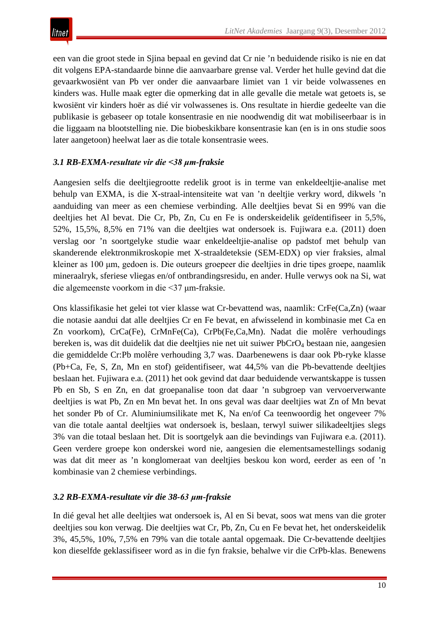een van die groot stede in Sjina bepaal en gevind dat Cr nie 'n beduidende risiko is nie en dat dit volgens EPA-standaarde binne die aanvaarbare grense val. Verder het hulle gevind dat die gevaarkwosiënt van Pb ver onder die aanvaarbare limiet van 1 vir beide volwassenes en kinders was. Hulle maak egter die opmerking dat in alle gevalle die metale wat getoets is, se kwosiënt vir kinders hoër as dié vir volwassenes is. Ons resultate in hierdie gedeelte van die publikasie is gebaseer op totale konsentrasie en nie noodwendig dit wat mobiliseerbaar is in die liggaam na blootstelling nie. Die biobeskikbare konsentrasie kan (en is in ons studie soos later aangetoon) heelwat laer as die totale konsentrasie wees.

# *3.1 RB-EXMA-resultate vir die <38 μm-fraksie*

Aangesien selfs die deeltjiegrootte redelik groot is in terme van enkeldeeltjie-analise met behulp van EXMA, is die X-straal-intensiteite wat van 'n deeltjie verkry word, dikwels 'n aanduiding van meer as een chemiese verbinding. Alle deeltjies bevat Si en 99% van die deeltjies het Al bevat. Die Cr, Pb, Zn, Cu en Fe is onderskeidelik geïdentifiseer in 5,5%, 52%, 15,5%, 8,5% en 71% van die deeltjies wat ondersoek is. Fujiwara e.a. (2011) doen verslag oor 'n soortgelyke studie waar enkeldeeltjie-analise op padstof met behulp van skanderende elektronmikroskopie met X-straaldeteksie (SEM-EDX) op vier fraksies, almal kleiner as 100 μm, gedoen is. Die outeurs groepeer die deeltjies in drie tipes groepe, naamlik mineraalryk, sferiese vliegas en/of ontbrandingsresidu, en ander. Hulle verwys ook na Si, wat die algemeenste voorkom in die <37 μm-fraksie.

Ons klassifikasie het gelei tot vier klasse wat Cr-bevattend was, naamlik: CrFe(Ca,Zn) (waar die notasie aandui dat alle deeltjies Cr en Fe bevat, en afwisselend in kombinasie met Ca en Zn voorkom), CrCa(Fe), CrMnFe(Ca), CrPb(Fe,Ca,Mn). Nadat die molêre verhoudings bereken is, was dit duidelik dat die deeltjies nie net uit suiwer PbCrO<sub>4</sub> bestaan nie, aangesien die gemiddelde Cr:Pb molêre verhouding 3,7 was. Daarbenewens is daar ook Pb-ryke klasse (Pb+Ca, Fe, S, Zn, Mn en stof) geïdentifiseer, wat 44,5% van die Pb-bevattende deeltjies beslaan het. Fujiwara e.a. (2011) het ook gevind dat daar beduidende verwantskappe is tussen Pb en Sb, S en Zn, en dat groepanalise toon dat daar 'n subgroep van vervoerverwante deeltjies is wat Pb, Zn en Mn bevat het. In ons geval was daar deeltjies wat Zn of Mn bevat het sonder Pb of Cr. Aluminiumsilikate met K, Na en/of Ca teenwoordig het ongeveer 7% van die totale aantal deeltjies wat ondersoek is, beslaan, terwyl suiwer silikadeeltjies slegs 3% van die totaal beslaan het. Dit is soortgelyk aan die bevindings van Fujiwara e.a. (2011). Geen verdere groepe kon onderskei word nie, aangesien die elementsamestellings sodanig was dat dit meer as 'n konglomeraat van deeltjies beskou kon word, eerder as een of 'n kombinasie van 2 chemiese verbindings.

## *3.2 RB-EXMA-resultate vir die 38-63 μm-fraksie*

In dié geval het alle deeltjies wat ondersoek is, Al en Si bevat, soos wat mens van die groter deeltjies sou kon verwag. Die deeltjies wat Cr, Pb, Zn, Cu en Fe bevat het, het onderskeidelik 3%, 45,5%, 10%, 7,5% en 79% van die totale aantal opgemaak. Die Cr-bevattende deeltjies kon dieselfde geklassifiseer word as in die fyn fraksie, behalwe vir die CrPb-klas. Benewens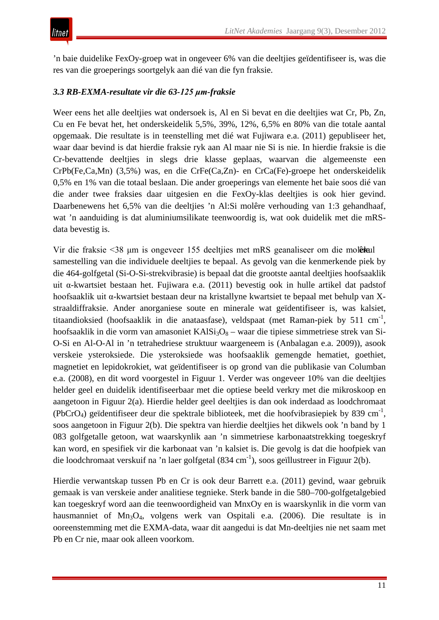'n baie duidelike FexOy-groep wat in ongeveer 6% van die deeltjies geïdentifiseer is, was die res van die groeperings soortgelyk aan dié van die fyn fraksie.

# *3.3 RB-EXMA-resultate vir die 63-125 μm-fraksie*

Weer eens het alle deeltjies wat ondersoek is, Al en Si bevat en die deeltjies wat Cr, Pb, Zn, Cu en Fe bevat het, het onderskeidelik 5,5%, 39%, 12%, 6,5% en 80% van die totale aantal opgemaak. Die resultate is in teenstelling met dié wat Fujiwara e.a. (2011) gepubliseer het, waar daar bevind is dat hierdie fraksie ryk aan Al maar nie Si is nie. In hierdie fraksie is die Cr-bevattende deeltjies in slegs drie klasse geplaas, waarvan die algemeenste een CrPb(Fe,Ca,Mn) (3,5%) was, en die CrFe(Ca,Zn)- en CrCa(Fe)-groepe het onderskeidelik 0,5% en 1% van die totaal beslaan. Die ander groeperings van elemente het baie soos dié van die ander twee fraksies daar uitgesien en die FexOy-klas deeltjies is ook hier gevind. Daarbenewens het 6,5% van die deeltjies 'n Al:Si molêre verhouding van 1:3 gehandhaaf, wat 'n aanduiding is dat aluminiumsilikate teenwoordig is, wat ook duidelik met die mRSdata bevestig is.

Vir die fraksie <38 μm is ongeveer 155 deeltjies met mRS geanaliseer om die molèral samestelling van die individuele deeltjies te bepaal. As gevolg van die kenmerkende piek by die 464-golfgetal (Si-O-Si-strekvibrasie) is bepaal dat die grootste aantal deeltjies hoofsaaklik uit α-kwartsiet bestaan het. Fujiwara e.a. (2011) bevestig ook in hulle artikel dat padstof hoofsaaklik uit α-kwartsiet bestaan deur na kristallyne kwartsiet te bepaal met behulp van Xstraaldiffraksie. Ander anorganiese soute en minerale wat geïdentifiseer is, was kalsiet, titaandioksied (hoofsaaklik in die anataasfase), veldspaat (met Raman-piek by 511 cm<sup>-1</sup>, hoofsaaklik in die vorm van amasoniet  $KAISi<sub>3</sub>O<sub>8</sub> -$  waar die tipiese simmetriese strek van Si-O-Si en Al-O-Al in 'n tetrahedriese struktuur waargeneem is (Anbalagan e.a. 2009)), asook verskeie ysteroksiede. Die ysteroksiede was hoofsaaklik gemengde hematiet, goethiet, magnetiet en lepidokrokiet, wat geïdentifiseer is op grond van die publikasie van Columban e.a. (2008), en dit word voorgestel in Figuur 1. Verder was ongeveer 10% van die deeltjies helder geel en duidelik identifiseerbaar met die optiese beeld verkry met die mikroskoop en aangetoon in Figuur 2(a). Hierdie helder geel deeltjies is dan ook inderdaad as loodchromaat (PbCrO<sub>4</sub>) geïdentifiseer deur die spektrale biblioteek, met die hoofvibrasiepiek by 839 cm<sup>-1</sup>, soos aangetoon in Figuur 2(b). Die spektra van hierdie deeltjies het dikwels ook 'n band by 1 083 golfgetalle getoon, wat waarskynlik aan 'n simmetriese karbonaatstrekking toegeskryf kan word, en spesifiek vir die karbonaat van 'n kalsiet is. Die gevolg is dat die hoofpiek van die loodchromaat verskuif na 'n laer golfgetal (834 cm<sup>-1</sup>), soos geïllustreer in Figuur 2(b).

Hierdie verwantskap tussen Pb en Cr is ook deur Barrett e.a. (2011) gevind, waar gebruik gemaak is van verskeie ander analitiese tegnieke. Sterk bande in die 580–700-golfgetalgebied kan toegeskryf word aan die teenwoordigheid van MnxOy en is waarskynlik in die vorm van hausmanniet of Mn<sub>3</sub>O<sub>4</sub>, volgens werk van Ospitali e.a. (2006). Die resultate is in ooreenstemming met die EXMA-data, waar dit aangedui is dat Mn-deeltjies nie net saam met Pb en Cr nie, maar ook alleen voorkom.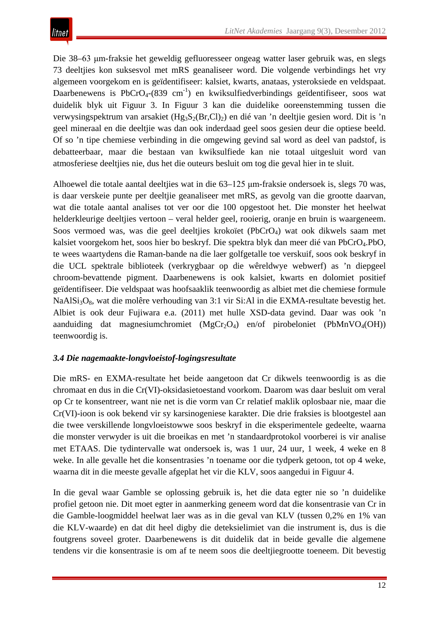Die 38–63 μm-fraksie het geweldig gefluoresseer ongeag watter laser gebruik was, en slegs 73 deeltjies kon suksesvol met mRS geanaliseer word. Die volgende verbindings het vry algemeen voorgekom en is geïdentifiseer: kalsiet, kwarts, anataas, ysteroksiede en veldspaat. Daarbenewens is  $PbCrO<sub>4</sub>-(839 cm<sup>-1</sup>)$  en kwiksulfiedverbindings geïdentifiseer, soos wat duidelik blyk uit Figuur 3. In Figuur 3 kan die duidelike ooreenstemming tussen die verwysingspektrum van arsakiet  $(Hg_3S_2(Br,Cl)_2)$  en dié van 'n deeltjie gesien word. Dit is 'n geel mineraal en die deeltjie was dan ook inderdaad geel soos gesien deur die optiese beeld. Of so 'n tipe chemiese verbinding in die omgewing gevind sal word as deel van padstof, is debatteerbaar, maar die bestaan van kwiksulfiede kan nie totaal uitgesluit word van atmosferiese deeltjies nie, dus het die outeurs besluit om tog die geval hier in te sluit.

Alhoewel die totale aantal deeltjies wat in die 63–125 μm-fraksie ondersoek is, slegs 70 was, is daar verskeie punte per deeltjie geanaliseer met mRS, as gevolg van die grootte daarvan, wat die totale aantal analises tot ver oor die 100 opgestoot het. Die monster het heelwat helderkleurige deeltjies vertoon – veral helder geel, rooierig, oranje en bruin is waargeneem. Soos vermoed was, was die geel deeltjies krokoïet (PbCrO4) wat ook dikwels saam met kalsiet voorgekom het, soos hier bo beskryf. Die spektra blyk dan meer dié van PbCrO4.PbO, te wees waartydens die Raman-bande na die laer golfgetalle toe verskuif, soos ook beskryf in die UCL spektrale biblioteek (verkrygbaar op die wêreldwye webwerf) as 'n diepgeel chroom-bevattende pigment. Daarbenewens is ook kalsiet, kwarts en dolomiet positief geïdentifiseer. Die veldspaat was hoofsaaklik teenwoordig as albiet met die chemiese formule NaAlSi3O8, wat die molêre verhouding van 3:1 vir Si:Al in die EXMA-resultate bevestig het. Albiet is ook deur Fujiwara e.a. (2011) met hulle XSD-data gevind. Daar was ook 'n aanduiding dat magnesiumchromiet  $(MgCr<sub>2</sub>O<sub>4</sub>)$  en/of pirobeloniet (PbMnVO<sub>4</sub>(OH)) teenwoordig is.

## *3.4 Die nagemaakte-longvloeistof-logingsresultate*

Die mRS- en EXMA-resultate het beide aangetoon dat Cr dikwels teenwoordig is as die chromaat en dus in die Cr(VI)-oksidasietoestand voorkom. Daarom was daar besluit om veral op Cr te konsentreer, want nie net is die vorm van Cr relatief maklik oplosbaar nie, maar die Cr(VI)-ioon is ook bekend vir sy karsinogeniese karakter. Die drie fraksies is blootgestel aan die twee verskillende longvloeistowwe soos beskryf in die eksperimentele gedeelte, waarna die monster verwyder is uit die broeikas en met 'n standaardprotokol voorberei is vir analise met ETAAS. Die tydintervalle wat ondersoek is, was 1 uur, 24 uur, 1 week, 4 weke en 8 weke. In alle gevalle het die konsentrasies 'n toename oor die tydperk getoon, tot op 4 weke, waarna dit in die meeste gevalle afgeplat het vir die KLV, soos aangedui in Figuur 4.

In die geval waar Gamble se oplossing gebruik is, het die data egter nie so 'n duidelike profiel getoon nie. Dit moet egter in aanmerking geneem word dat die konsentrasie van Cr in die Gamble-loogmiddel heelwat laer was as in die geval van KLV (tussen 0,2% en 1% van die KLV-waarde) en dat dit heel digby die deteksielimiet van die instrument is, dus is die foutgrens soveel groter. Daarbenewens is dit duidelik dat in beide gevalle die algemene tendens vir die konsentrasie is om af te neem soos die deeltjiegrootte toeneem. Dit bevestig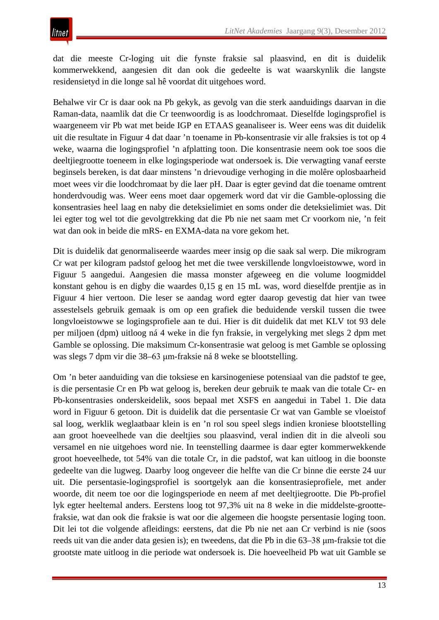dat die meeste Cr-loging uit die fynste fraksie sal plaasvind, en dit is duidelik kommerwekkend, aangesien dit dan ook die gedeelte is wat waarskynlik die langste residensietyd in die longe sal hê voordat dit uitgehoes word.

Behalwe vir Cr is daar ook na Pb gekyk, as gevolg van die sterk aanduidings daarvan in die Raman-data, naamlik dat die Cr teenwoordig is as loodchromaat. Dieselfde logingsprofiel is waargeneem vir Pb wat met beide IGP en ETAAS geanaliseer is. Weer eens was dit duidelik uit die resultate in Figuur 4 dat daar 'n toename in Pb-konsentrasie vir alle fraksies is tot op 4 weke, waarna die logingsprofiel 'n afplatting toon. Die konsentrasie neem ook toe soos die deeltjiegrootte toeneem in elke logingsperiode wat ondersoek is. Die verwagting vanaf eerste beginsels bereken, is dat daar minstens 'n drievoudige verhoging in die molêre oplosbaarheid moet wees vir die loodchromaat by die laer pH. Daar is egter gevind dat die toename omtrent honderdvoudig was. Weer eens moet daar opgemerk word dat vir die Gamble-oplossing die konsentrasies heel laag en naby die deteksielimiet en soms onder die deteksielimiet was. Dit lei egter tog wel tot die gevolgtrekking dat die Pb nie net saam met Cr voorkom nie, 'n feit wat dan ook in beide die mRS- en EXMA-data na vore gekom het.

Dit is duidelik dat genormaliseerde waardes meer insig op die saak sal werp. Die mikrogram Cr wat per kilogram padstof geloog het met die twee verskillende longvloeistowwe, word in Figuur 5 aangedui. Aangesien die massa monster afgeweeg en die volume loogmiddel konstant gehou is en digby die waardes 0,15 g en 15 mL was, word dieselfde prentjie as in Figuur 4 hier vertoon. Die leser se aandag word egter daarop gevestig dat hier van twee assestelsels gebruik gemaak is om op een grafiek die beduidende verskil tussen die twee longvloeistowwe se logingsprofiele aan te dui. Hier is dit duidelik dat met KLV tot 93 dele per miljoen (dpm) uitloog ná 4 weke in die fyn fraksie, in vergelyking met slegs 2 dpm met Gamble se oplossing. Die maksimum Cr-konsentrasie wat geloog is met Gamble se oplossing was slegs 7 dpm vir die 38–63 μm-fraksie ná 8 weke se blootstelling.

Om 'n beter aanduiding van die toksiese en karsinogeniese potensiaal van die padstof te gee, is die persentasie Cr en Pb wat geloog is, bereken deur gebruik te maak van die totale Cr- en Pb-konsentrasies onderskeidelik, soos bepaal met XSFS en aangedui in Tabel 1. Die data word in Figuur 6 getoon. Dit is duidelik dat die persentasie Cr wat van Gamble se vloeistof sal loog, werklik weglaatbaar klein is en 'n rol sou speel slegs indien kroniese blootstelling aan groot hoeveelhede van die deeltjies sou plaasvind, veral indien dit in die alveoli sou versamel en nie uitgehoes word nie. In teenstelling daarmee is daar egter kommerwekkende groot hoeveelhede, tot 54% van die totale Cr, in die padstof, wat kan uitloog in die boonste gedeelte van die lugweg. Daarby loog ongeveer die helfte van die Cr binne die eerste 24 uur uit. Die persentasie-logingsprofiel is soortgelyk aan die konsentrasieprofiele, met ander woorde, dit neem toe oor die logingsperiode en neem af met deeltjiegrootte. Die Pb-profiel lyk egter heeltemal anders. Eerstens loog tot 97,3% uit na 8 weke in die middelste-groottefraksie, wat dan ook die fraksie is wat oor die algemeen die hoogste persentasie loging toon. Dit lei tot die volgende afleidings: eerstens, dat die Pb nie net aan Cr verbind is nie (soos reeds uit van die ander data gesien is); en tweedens, dat die Pb in die 63–38 μm-fraksie tot die grootste mate uitloog in die periode wat ondersoek is. Die hoeveelheid Pb wat uit Gamble se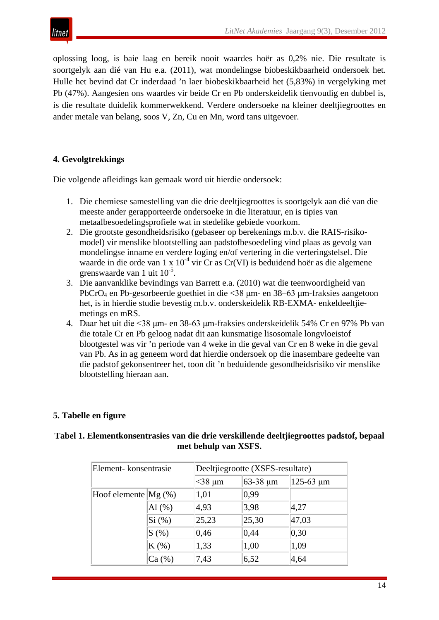

oplossing loog, is baie laag en bereik nooit waardes hoër as 0,2% nie. Die resultate is soortgelyk aan dié van Hu e.a. (2011), wat mondelingse biobeskikbaarheid ondersoek het. Hulle het bevind dat Cr inderdaad 'n laer biobeskikbaarheid het (5,83%) in vergelyking met Pb (47%). Aangesien ons waardes vir beide Cr en Pb onderskeidelik tienvoudig en dubbel is, is die resultate duidelik kommerwekkend. Verdere ondersoeke na kleiner deeltjiegroottes en ander metale van belang, soos V, Zn, Cu en Mn, word tans uitgevoer.

## **4. Gevolgtrekkings**

Die volgende afleidings kan gemaak word uit hierdie ondersoek:

- 1. Die chemiese samestelling van die drie deeltjiegroottes is soortgelyk aan dié van die meeste ander gerapporteerde ondersoeke in die literatuur, en is tipies van metaalbesoedelingsprofiele wat in stedelike gebiede voorkom.
- 2. Die grootste gesondheidsrisiko (gebaseer op berekenings m.b.v. die RAIS-risikomodel) vir menslike blootstelling aan padstofbesoedeling vind plaas as gevolg van mondelingse inname en verdere loging en/of vertering in die verteringstelsel. Die waarde in die orde van 1 x  $10^{-4}$  vir Cr as Cr(VI) is beduidend hoër as die algemene grenswaarde van 1 uit 10<sup>-5</sup>.
- 3. Die aanvanklike bevindings van Barrett e.a. (2010) wat die teenwoordigheid van PbCrO4 en Pb-gesorbeerde goethiet in die <38 μm- en 38–63 μm-fraksies aangetoon het, is in hierdie studie bevestig m.b.v. onderskeidelik RB-EXMA- enkeldeeltjiemetings en mRS.
- 4. Daar het uit die <38 μm- en 38-63 μm-fraksies onderskeidelik 54% Cr en 97% Pb van die totale Cr en Pb geloog nadat dit aan kunsmatige lisosomale longvloeistof blootgestel was vir 'n periode van 4 weke in die geval van Cr en 8 weke in die geval van Pb. As in ag geneem word dat hierdie ondersoek op die inasembare gedeelte van die padstof gekonsentreer het, toon dit 'n beduidende gesondheidsrisiko vir menslike blootstelling hieraan aan.

## **5. Tabelle en figure**

| Tabel 1. Elementkonsentrasies van die drie verskillende deeltjiegroottes padstof, bepaal |
|------------------------------------------------------------------------------------------|
| met behulp van XSFS.                                                                     |

| Element-konsentrasie   |           | Deeltjiegrootte (XSFS-resultate) |               |                  |  |
|------------------------|-----------|----------------------------------|---------------|------------------|--|
|                        |           | $<$ 38 µm                        | $63-38 \mu m$ | $125 - 63 \mu m$ |  |
| Hoof elemente $Mg$ (%) |           | 1,01                             | 0,99          |                  |  |
|                        | Al $(\%)$ | 4,93                             | 3,98          | 4,27             |  |
|                        | Si (%)    | 25,23                            | 25,30         | 47,03            |  |
|                        | S(%)      | 0,46                             | 0,44          | 0,30             |  |
|                        | $K(\%)$   | 1,33                             | 1,00          | 1,09             |  |
|                        | Ca (%)    | 7,43                             | 6,52          | 4,64             |  |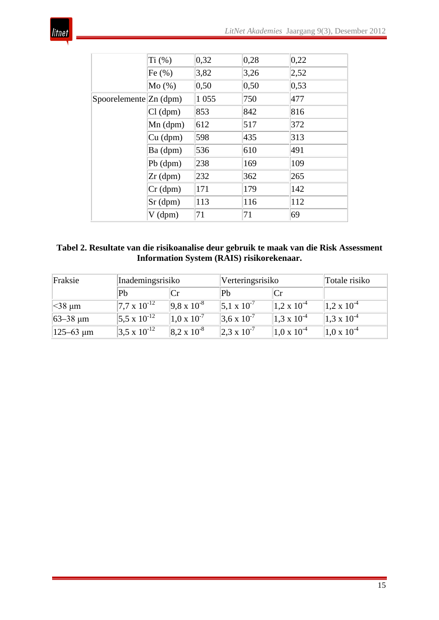

|                              | Ti (%)     | 0,32    | 0,28  | 0,22 |
|------------------------------|------------|---------|-------|------|
|                              | Fe $(\% )$ | 3,82    | 3,26  | 2,52 |
|                              | Mo(%)      | 0, 50   | 0, 50 | 0,53 |
| Spoorelemente $\rm Zn$ (dpm) |            | 1 0 5 5 | 750   | 477  |
|                              | $Cl$ (dpm) | 853     | 842   | 816  |
|                              | $Mn$ (dpm) | 612     | 517   | 372  |
|                              | $Cu$ (dpm) | 598     | 435   | 313  |
|                              | Ba (dpm)   | 536     | 610   | 491  |
|                              | $Pb$ (dpm) | 238     | 169   | 109  |
|                              | $Zr$ (dpm) | 232     | 362   | 265  |
|                              | Cr(dpm)    | 171     | 179   | 142  |
|                              | $Sr$ (dpm) | 113     | 116   | 112  |
|                              | $V$ (dpm)  | 71      | 71    | 69   |

| Tabel 2. Resultate van die risikoanalise deur gebruik te maak van die Risk Assessment |
|---------------------------------------------------------------------------------------|
| Information System (RAIS) risikorekenaar.                                             |

| Fraksie                | Inademingsrisiko        |                        | Verteringsrisiko       | Totale risiko        |                        |
|------------------------|-------------------------|------------------------|------------------------|----------------------|------------------------|
|                        | Pb                      |                        | Pb                     |                      |                        |
| $\approx$ 38 µm        | $ 7.7 \times 10^{-12} $ | $ 9.8 \times 10^{-8} $ | $5.1 \times 10^{-7}$   | $1.2 \times 10^{-4}$ | $1,2 \times 10^{-4}$   |
| 63–38 µm               | $5.5 \times 10^{-12}$   | $1.0 \times 10^{-7}$   | $3.6 \times 10^{-7}$   | $1.3 \times 10^{-4}$ | $1.3 \times 10^{-4}$   |
| $ 125 - 63 \,\{\mu m}$ | $3.5 \times 10^{-12}$   | $ 8.2 \times 10^{-8} $ | $ 2.3 \times 10^{-7} $ | $1.0 \times 10^{-4}$ | $ 1.0 \times 10^{-4} $ |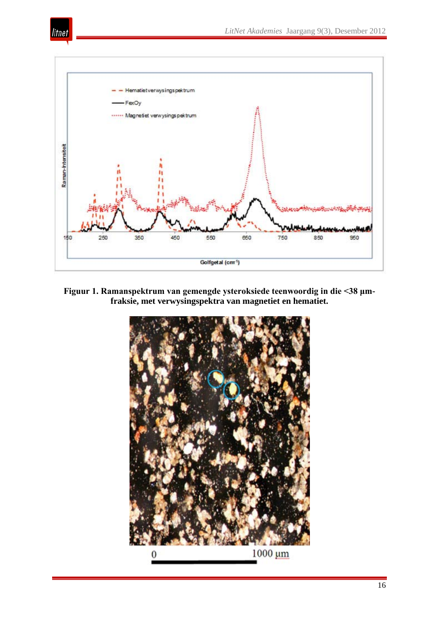



**Figuur 1. Ramanspektrum van gemengde ysteroksiede teenwoordig in die <38 μmfraksie, met verwysingspektra van magnetiet en hematiet.**

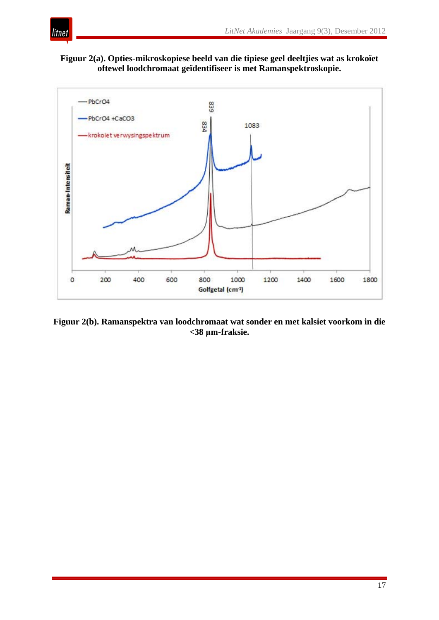

**Figuur 2(a). Opties-mikroskopiese beeld van die tipiese geel deeltjies wat as krokoïet oftewel loodchromaat geïdentifiseer is met Ramanspektroskopie.** 



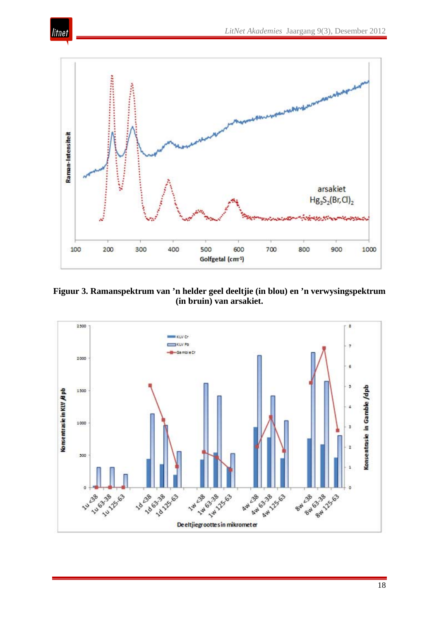

litnet

**Figuur 3. Ramanspektrum van 'n helder geel deeltjie (in blou) en 'n verwysingspektrum (in bruin) van arsakiet.** 

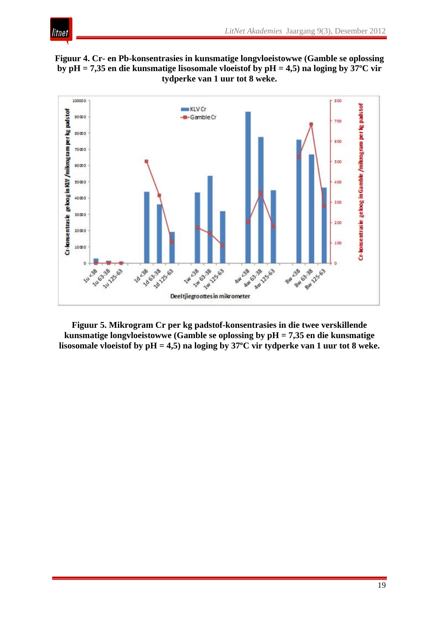**Figuur 4. Cr- en Pb-konsentrasies in kunsmatige longvloeistowwe (Gamble se oplossing by pH = 7,35 en die kunsmatige lisosomale vloeistof by pH = 4,5) na loging by 37ºC vir tydperke van 1 uur tot 8 weke.** 

litnet



**Figuur 5. Mikrogram Cr per kg padstof-konsentrasies in die twee verskillende kunsmatige longvloeistowwe (Gamble se oplossing by pH = 7,35 en die kunsmatige lisosomale vloeistof by pH = 4,5) na loging by 37ºC vir tydperke van 1 uur tot 8 weke.**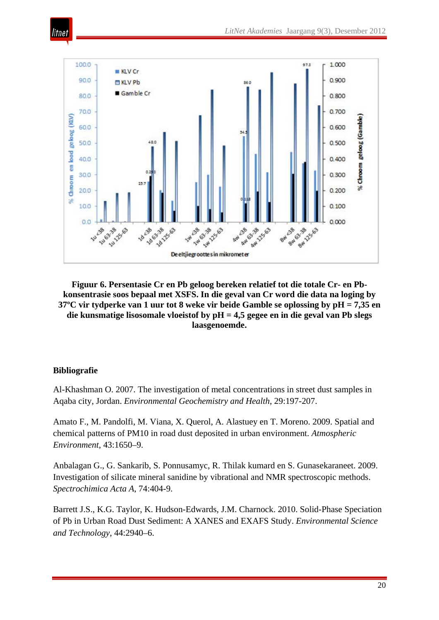

**Figuur 6. Persentasie Cr en Pb geloog bereken relatief tot die totale Cr- en Pbkonsentrasie soos bepaal met XSFS. In die geval van Cr word die data na loging by 37ºC vir tydperke van 1 uur tot 8 weke vir beide Gamble se oplossing by pH = 7,35 en die kunsmatige lisosomale vloeistof by pH = 4,5 gegee en in die geval van Pb slegs laasgenoemde.** 

#### **Bibliografie**

itnei

Al-Khashman O. 2007. The investigation of metal concentrations in street dust samples in Aqaba city, Jordan. *Environmental Geochemistry and Health*, 29:197-207.

Amato F., M. Pandolfi, M. Viana, X. Querol, A. Alastuey en T. Moreno. 2009. Spatial and chemical patterns of PM10 in road dust deposited in urban environment. *Atmospheric Environment*, 43:1650–9.

Anbalagan G., G. Sankarib, S. Ponnusamyc, R. Thilak kumard en S. Gunasekaraneet. 2009. Investigation of silicate mineral sanidine by vibrational and NMR spectroscopic methods. *Spectrochimica Acta A*, 74:404-9.

Barrett J.S., K.G. Taylor, K. Hudson-Edwards, J.M. Charnock. 2010. Solid-Phase Speciation of Pb in Urban Road Dust Sediment: A XANES and EXAFS Study. *Environmental Science and Technology*, 44:2940–6.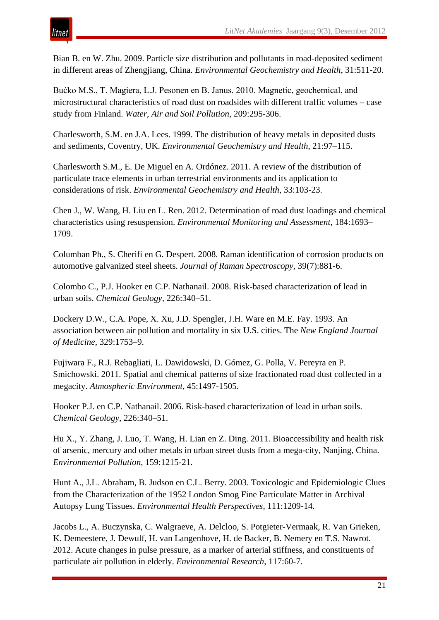Bian B. en W. Zhu. 2009. Particle size distribution and pollutants in road-deposited sediment in different areas of Zhengjiang, China. *Environmental Geochemistry and Health*, 31:511-20.

Bućko M.S., T. Magiera, L.J. Pesonen en B. Janus. 2010. Magnetic, geochemical, and microstructural characteristics of road dust on roadsides with different traffic volumes – case study from Finland. *Water, Air and Soil Pollution*, 209:295-306.

Charlesworth, S.M. en J.A. Lees. 1999. The distribution of heavy metals in deposited dusts and sediments, Coventry, UK. *Environmental Geochemistry and Health*, 21:97–115.

Charlesworth S.M., E. De Miguel en A. Ordónez. 2011. A review of the distribution of particulate trace elements in urban terrestrial environments and its application to considerations of risk. *Environmental Geochemistry and Health*, 33:103-23.

Chen J., W. Wang, H. Liu en L. Ren. 2012. Determination of road dust loadings and chemical characteristics using resuspension. *Environmental Monitoring and Assessment*, 184:1693– 1709.

Columban Ph., S. Cherifi en G. Despert. 2008. Raman identification of corrosion products on automotive galvanized steel sheets. *Journal of Raman Spectroscopy*, 39(7):881-6.

Colombo C., P.J. Hooker en C.P. Nathanail. 2008. Risk-based characterization of lead in urban soils. *Chemical Geology*, 226:340–51.

Dockery D.W., C.A. Pope, X. Xu, J.D. Spengler, J.H. Ware en M.E. Fay. 1993. An association between air pollution and mortality in six U.S. cities. The *New England Journal of Medicine*, 329:1753–9.

Fujiwara F., R.J. Rebagliati, L. Dawidowski, D. Gómez, G. Polla, V. Pereyra en P. Smichowski. 2011. Spatial and chemical patterns of size fractionated road dust collected in a megacity. *Atmospheric Environment*, 45:1497-1505.

Hooker P.J. en C.P. Nathanail. 2006. Risk-based characterization of lead in urban soils. *Chemical Geology*, 226:340–51.

Hu X., Y. Zhang, J. Luo, T. Wang, H. Lian en Z. Ding. 2011. Bioaccessibility and health risk of arsenic, mercury and other metals in urban street dusts from a mega-city, Nanjing, China. *Environmental Pollution*, 159:1215-21.

Hunt A., J.L. Abraham, B. Judson en C.L. Berry. 2003. Toxicologic and Epidemiologic Clues from the Characterization of the 1952 London Smog Fine Particulate Matter in Archival Autopsy Lung Tissues. *Environmental Health Perspectives*, 111:1209-14.

Jacobs L., A. Buczynska, C. Walgraeve, A. Delcloo, S. Potgieter-Vermaak, R. Van Grieken, K. Demeestere, J. Dewulf, H. van Langenhove, H. de Backer, B. Nemery en T.S. Nawrot. 2012. Acute changes in pulse pressure, as a marker of arterial stiffness, and constituents of particulate air pollution in elderly. *Environmental Research*, 117:60-7.